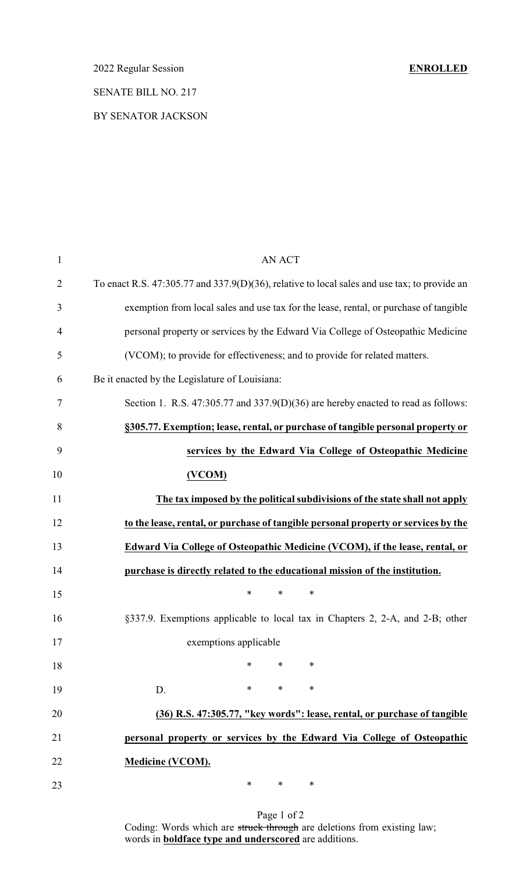SENATE BILL NO. 217

#### BY SENATOR JACKSON

| $\mathbf{1}$   | <b>AN ACT</b>                                                                                |
|----------------|----------------------------------------------------------------------------------------------|
| $\overline{2}$ | To enact R.S. 47:305.77 and 337.9(D)(36), relative to local sales and use tax; to provide an |
| 3              | exemption from local sales and use tax for the lease, rental, or purchase of tangible        |
| $\overline{4}$ | personal property or services by the Edward Via College of Osteopathic Medicine              |
| 5              | (VCOM); to provide for effectiveness; and to provide for related matters.                    |
| 6              | Be it enacted by the Legislature of Louisiana:                                               |
| 7              | Section 1. R.S. 47:305.77 and 337.9(D)(36) are hereby enacted to read as follows:            |
| 8              | §305.77. Exemption; lease, rental, or purchase of tangible personal property or              |
| 9              | services by the Edward Via College of Osteopathic Medicine                                   |
| 10             | (VCOM)                                                                                       |
| 11             | The tax imposed by the political subdivisions of the state shall not apply                   |
| 12             | to the lease, rental, or purchase of tangible personal property or services by the           |
| 13             | Edward Via College of Osteopathic Medicine (VCOM), if the lease, rental, or                  |
| 14             | purchase is directly related to the educational mission of the institution.                  |
| 15             | $\ast$<br>*<br>∗                                                                             |
| 16             | §337.9. Exemptions applicable to local tax in Chapters 2, 2-A, and 2-B; other                |
| 17             | exemptions applicable                                                                        |
| 18             | $\ast$<br>*<br>∗                                                                             |
| 19             | $\ast$<br>*<br>$\ast$<br>D.                                                                  |
| 20             | (36) R.S. 47:305.77, "key words": lease, rental, or purchase of tangible                     |
| 21             | personal property or services by the Edward Via College of Osteopathic                       |
| 22             | <b>Medicine (VCOM).</b>                                                                      |
| 23             | ∗<br>*<br>∗                                                                                  |

Page 1 of 2 Coding: Words which are struck through are deletions from existing law; words in **boldface type and underscored** are additions.